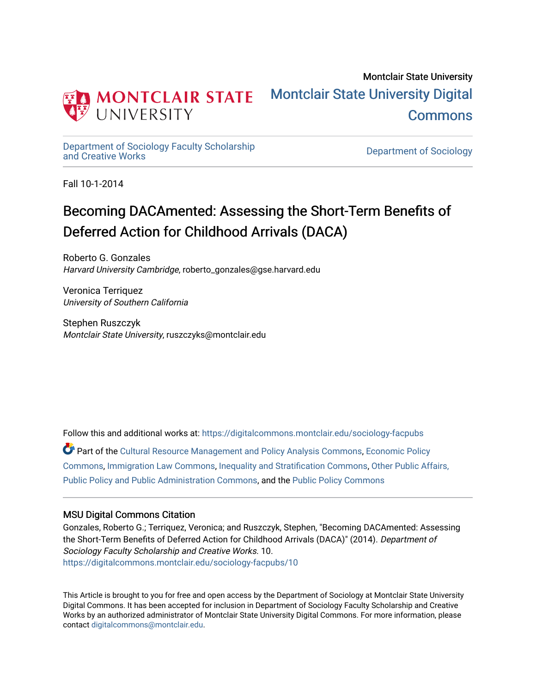

## Montclair State University [Montclair State University Digital](https://digitalcommons.montclair.edu/)  [Commons](https://digitalcommons.montclair.edu/)

[Department of Sociology Faculty Scholarship](https://digitalcommons.montclair.edu/sociology-facpubs)

Department of Sociology

Fall 10-1-2014

# Becoming DACAmented: Assessing the Short-Term Benefits of Deferred Action for Childhood Arrivals (DACA)

Roberto G. Gonzales Harvard University Cambridge, roberto\_gonzales@gse.harvard.edu

Veronica Terriquez University of Southern California

Stephen Ruszczyk Montclair State University, ruszczyks@montclair.edu

Follow this and additional works at: [https://digitalcommons.montclair.edu/sociology-facpubs](https://digitalcommons.montclair.edu/sociology-facpubs?utm_source=digitalcommons.montclair.edu%2Fsociology-facpubs%2F10&utm_medium=PDF&utm_campaign=PDFCoverPages)

Part of the [Cultural Resource Management and Policy Analysis Commons,](http://network.bepress.com/hgg/discipline/782?utm_source=digitalcommons.montclair.edu%2Fsociology-facpubs%2F10&utm_medium=PDF&utm_campaign=PDFCoverPages) [Economic Policy](http://network.bepress.com/hgg/discipline/1025?utm_source=digitalcommons.montclair.edu%2Fsociology-facpubs%2F10&utm_medium=PDF&utm_campaign=PDFCoverPages)  [Commons](http://network.bepress.com/hgg/discipline/1025?utm_source=digitalcommons.montclair.edu%2Fsociology-facpubs%2F10&utm_medium=PDF&utm_campaign=PDFCoverPages), [Immigration Law Commons,](http://network.bepress.com/hgg/discipline/604?utm_source=digitalcommons.montclair.edu%2Fsociology-facpubs%2F10&utm_medium=PDF&utm_campaign=PDFCoverPages) [Inequality and Stratification Commons](http://network.bepress.com/hgg/discipline/421?utm_source=digitalcommons.montclair.edu%2Fsociology-facpubs%2F10&utm_medium=PDF&utm_campaign=PDFCoverPages), [Other Public Affairs,](http://network.bepress.com/hgg/discipline/403?utm_source=digitalcommons.montclair.edu%2Fsociology-facpubs%2F10&utm_medium=PDF&utm_campaign=PDFCoverPages) [Public Policy and Public Administration Commons](http://network.bepress.com/hgg/discipline/403?utm_source=digitalcommons.montclair.edu%2Fsociology-facpubs%2F10&utm_medium=PDF&utm_campaign=PDFCoverPages), and the [Public Policy Commons](http://network.bepress.com/hgg/discipline/400?utm_source=digitalcommons.montclair.edu%2Fsociology-facpubs%2F10&utm_medium=PDF&utm_campaign=PDFCoverPages) 

## MSU Digital Commons Citation

Gonzales, Roberto G.; Terriquez, Veronica; and Ruszczyk, Stephen, "Becoming DACAmented: Assessing the Short-Term Benefits of Deferred Action for Childhood Arrivals (DACA)" (2014). Department of Sociology Faculty Scholarship and Creative Works. 10. [https://digitalcommons.montclair.edu/sociology-facpubs/10](https://digitalcommons.montclair.edu/sociology-facpubs/10?utm_source=digitalcommons.montclair.edu%2Fsociology-facpubs%2F10&utm_medium=PDF&utm_campaign=PDFCoverPages) 

This Article is brought to you for free and open access by the Department of Sociology at Montclair State University Digital Commons. It has been accepted for inclusion in Department of Sociology Faculty Scholarship and Creative Works by an authorized administrator of Montclair State University Digital Commons. For more information, please contact [digitalcommons@montclair.edu](mailto:digitalcommons@montclair.edu).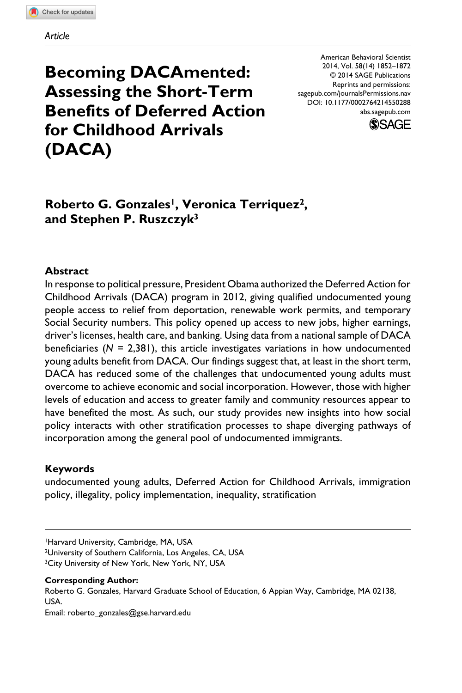**Becoming DACAmented: Assessing the Short-Term Benefits of Deferred Action for Childhood Arrivals (DACA)**

American Behavioral Scientist 2014, Vol. 58(14) 1852–1872 © 2014 SAGE Publications Reprints and permissions: sagepub.com/journalsPermissions.nav DOI: 10.1177/0002764214550288 abs.sagepub.com



## Roberto G. Gonzales<sup>1</sup>, Veronica Terriquez<sup>2</sup>, **and Stephen P. Ruszczyk3**

#### **Abstract**

In response to political pressure, President Obama authorized the Deferred Action for Childhood Arrivals (DACA) program in 2012, giving qualified undocumented young people access to relief from deportation, renewable work permits, and temporary Social Security numbers. This policy opened up access to new jobs, higher earnings, driver's licenses, health care, and banking. Using data from a national sample of DACA beneficiaries (*N* = 2,381), this article investigates variations in how undocumented young adults benefit from DACA. Our findings suggest that, at least in the short term, DACA has reduced some of the challenges that undocumented young adults must overcome to achieve economic and social incorporation. However, those with higher levels of education and access to greater family and community resources appear to have benefited the most. As such, our study provides new insights into how social policy interacts with other stratification processes to shape diverging pathways of incorporation among the general pool of undocumented immigrants.

#### **Keywords**

undocumented young adults, Deferred Action for Childhood Arrivals, immigration policy, illegality, policy implementation, inequality, stratification

2University of Southern California, Los Angeles, CA, USA <sup>3</sup>City University of New York, New York, NY, USA

#### **Corresponding Author:**

Roberto G. Gonzales, Harvard Graduate School of Education, 6 Appian Way, Cambridge, MA 02138, USA.

Email: [roberto\\_gonzales@gse.harvard.edu](mailto:roberto_gonzales@gse.harvard.edu)

<sup>1</sup>Harvard University, Cambridge, MA, USA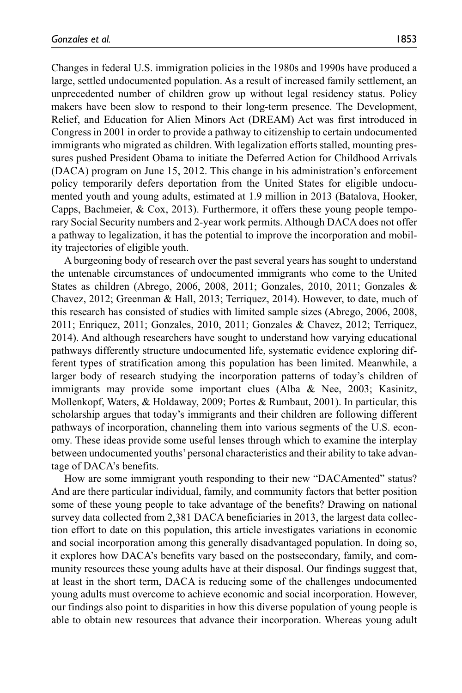Changes in federal U.S. immigration policies in the 1980s and 1990s have produced a large, settled undocumented population. As a result of increased family settlement, an unprecedented number of children grow up without legal residency status. Policy makers have been slow to respond to their long-term presence. The Development, Relief, and Education for Alien Minors Act (DREAM) Act was first introduced in Congress in 2001 in order to provide a pathway to citizenship to certain undocumented immigrants who migrated as children. With legalization efforts stalled, mounting pressures pushed President Obama to initiate the Deferred Action for Childhood Arrivals (DACA) program on June 15, 2012. This change in his administration's enforcement policy temporarily defers deportation from the United States for eligible undocumented youth and young adults, estimated at 1.9 million in 2013 (Batalova, Hooker, Capps, Bachmeier, & Cox, 2013). Furthermore, it offers these young people temporary Social Security numbers and 2-year work permits. Although DACA does not offer a pathway to legalization, it has the potential to improve the incorporation and mobility trajectories of eligible youth.

A burgeoning body of research over the past several years has sought to understand the untenable circumstances of undocumented immigrants who come to the United States as children (Abrego, 2006, 2008, 2011; Gonzales, 2010, 2011; Gonzales & Chavez, 2012; Greenman & Hall, 2013; Terriquez, 2014). However, to date, much of this research has consisted of studies with limited sample sizes (Abrego, 2006, 2008, 2011; Enriquez, 2011; Gonzales, 2010, 2011; Gonzales & Chavez, 2012; Terriquez, 2014). And although researchers have sought to understand how varying educational pathways differently structure undocumented life, systematic evidence exploring different types of stratification among this population has been limited. Meanwhile, a larger body of research studying the incorporation patterns of today's children of immigrants may provide some important clues (Alba & Nee, 2003; Kasinitz, Mollenkopf, Waters, & Holdaway, 2009; Portes & Rumbaut, 2001). In particular, this scholarship argues that today's immigrants and their children are following different pathways of incorporation, channeling them into various segments of the U.S. economy. These ideas provide some useful lenses through which to examine the interplay between undocumented youths' personal characteristics and their ability to take advantage of DACA's benefits.

How are some immigrant youth responding to their new "DACAmented" status? And are there particular individual, family, and community factors that better position some of these young people to take advantage of the benefits? Drawing on national survey data collected from 2,381 DACA beneficiaries in 2013, the largest data collection effort to date on this population, this article investigates variations in economic and social incorporation among this generally disadvantaged population. In doing so, it explores how DACA's benefits vary based on the postsecondary, family, and community resources these young adults have at their disposal. Our findings suggest that, at least in the short term, DACA is reducing some of the challenges undocumented young adults must overcome to achieve economic and social incorporation. However, our findings also point to disparities in how this diverse population of young people is able to obtain new resources that advance their incorporation. Whereas young adult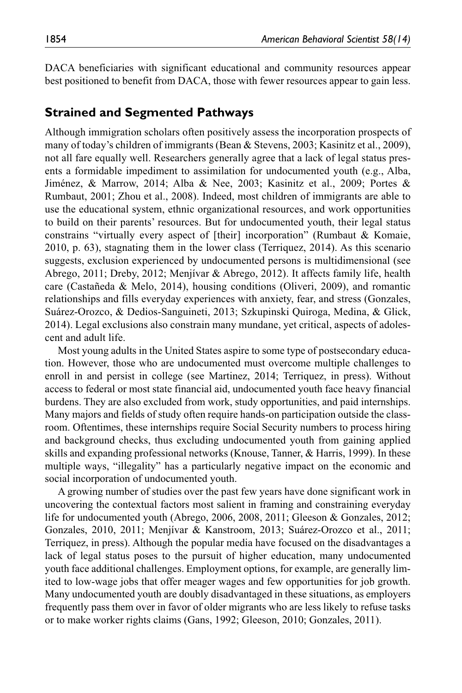DACA beneficiaries with significant educational and community resources appear best positioned to benefit from DACA, those with fewer resources appear to gain less.

#### **Strained and Segmented Pathways**

Although immigration scholars often positively assess the incorporation prospects of many of today's children of immigrants (Bean & Stevens, 2003; Kasinitz et al., 2009), not all fare equally well. Researchers generally agree that a lack of legal status presents a formidable impediment to assimilation for undocumented youth (e.g., Alba, Jiménez, & Marrow, 2014; Alba & Nee, 2003; Kasinitz et al., 2009; Portes & Rumbaut, 2001; Zhou et al., 2008). Indeed, most children of immigrants are able to use the educational system, ethnic organizational resources, and work opportunities to build on their parents' resources. But for undocumented youth, their legal status constrains "virtually every aspect of [their] incorporation" (Rumbaut & Komaie, 2010, p. 63), stagnating them in the lower class (Terriquez, 2014). As this scenario suggests, exclusion experienced by undocumented persons is multidimensional (see Abrego, 2011; Dreby, 2012; Menjívar & Abrego, 2012). It affects family life, health care (Castañeda & Melo, 2014), housing conditions (Oliveri, 2009), and romantic relationships and fills everyday experiences with anxiety, fear, and stress (Gonzales, Suárez-Orozco, & Dedios-Sanguineti, 2013; Szkupinski Quiroga, Medina, & Glick, 2014). Legal exclusions also constrain many mundane, yet critical, aspects of adolescent and adult life.

Most young adults in the United States aspire to some type of postsecondary education. However, those who are undocumented must overcome multiple challenges to enroll in and persist in college (see Martinez, 2014; Terriquez, in press). Without access to federal or most state financial aid, undocumented youth face heavy financial burdens. They are also excluded from work, study opportunities, and paid internships. Many majors and fields of study often require hands-on participation outside the classroom. Oftentimes, these internships require Social Security numbers to process hiring and background checks, thus excluding undocumented youth from gaining applied skills and expanding professional networks (Knouse, Tanner, & Harris, 1999). In these multiple ways, "illegality" has a particularly negative impact on the economic and social incorporation of undocumented youth.

A growing number of studies over the past few years have done significant work in uncovering the contextual factors most salient in framing and constraining everyday life for undocumented youth (Abrego, 2006, 2008, 2011; Gleeson & Gonzales, 2012; Gonzales, 2010, 2011; Menjívar & Kanstroom, 2013; Suárez-Orozco et al., 2011; Terriquez, in press). Although the popular media have focused on the disadvantages a lack of legal status poses to the pursuit of higher education, many undocumented youth face additional challenges. Employment options, for example, are generally limited to low-wage jobs that offer meager wages and few opportunities for job growth. Many undocumented youth are doubly disadvantaged in these situations, as employers frequently pass them over in favor of older migrants who are less likely to refuse tasks or to make worker rights claims (Gans, 1992; Gleeson, 2010; Gonzales, 2011).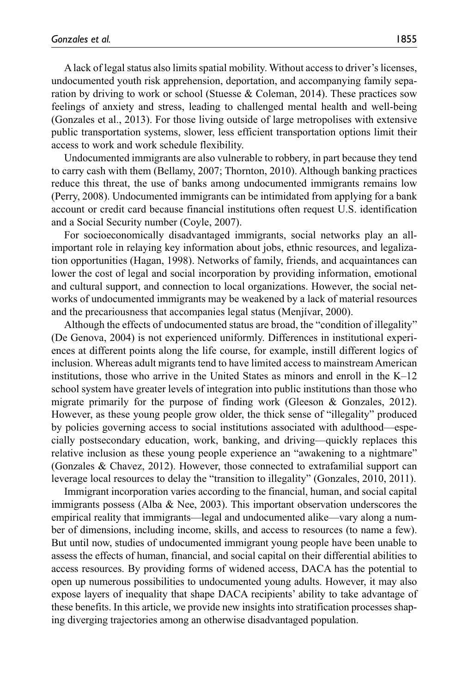A lack of legal status also limits spatial mobility. Without access to driver's licenses, undocumented youth risk apprehension, deportation, and accompanying family separation by driving to work or school (Stuesse & Coleman, 2014). These practices sow feelings of anxiety and stress, leading to challenged mental health and well-being (Gonzales et al., 2013). For those living outside of large metropolises with extensive public transportation systems, slower, less efficient transportation options limit their access to work and work schedule flexibility.

Undocumented immigrants are also vulnerable to robbery, in part because they tend to carry cash with them (Bellamy, 2007; Thornton, 2010). Although banking practices reduce this threat, the use of banks among undocumented immigrants remains low (Perry, 2008). Undocumented immigrants can be intimidated from applying for a bank account or credit card because financial institutions often request U.S. identification and a Social Security number (Coyle, 2007).

For socioeconomically disadvantaged immigrants, social networks play an allimportant role in relaying key information about jobs, ethnic resources, and legalization opportunities (Hagan, 1998). Networks of family, friends, and acquaintances can lower the cost of legal and social incorporation by providing information, emotional and cultural support, and connection to local organizations. However, the social networks of undocumented immigrants may be weakened by a lack of material resources and the precariousness that accompanies legal status (Menjívar, 2000).

Although the effects of undocumented status are broad, the "condition of illegality" (De Genova, 2004) is not experienced uniformly. Differences in institutional experiences at different points along the life course, for example, instill different logics of inclusion. Whereas adult migrants tend to have limited access to mainstream American institutions, those who arrive in the United States as minors and enroll in the K–12 school system have greater levels of integration into public institutions than those who migrate primarily for the purpose of finding work (Gleeson & Gonzales, 2012). However, as these young people grow older, the thick sense of "illegality" produced by policies governing access to social institutions associated with adulthood—especially postsecondary education, work, banking, and driving—quickly replaces this relative inclusion as these young people experience an "awakening to a nightmare" (Gonzales & Chavez, 2012). However, those connected to extrafamilial support can leverage local resources to delay the "transition to illegality" (Gonzales, 2010, 2011).

Immigrant incorporation varies according to the financial, human, and social capital immigrants possess (Alba & Nee, 2003). This important observation underscores the empirical reality that immigrants—legal and undocumented alike—vary along a number of dimensions, including income, skills, and access to resources (to name a few). But until now, studies of undocumented immigrant young people have been unable to assess the effects of human, financial, and social capital on their differential abilities to access resources. By providing forms of widened access, DACA has the potential to open up numerous possibilities to undocumented young adults. However, it may also expose layers of inequality that shape DACA recipients' ability to take advantage of these benefits. In this article, we provide new insights into stratification processes shaping diverging trajectories among an otherwise disadvantaged population.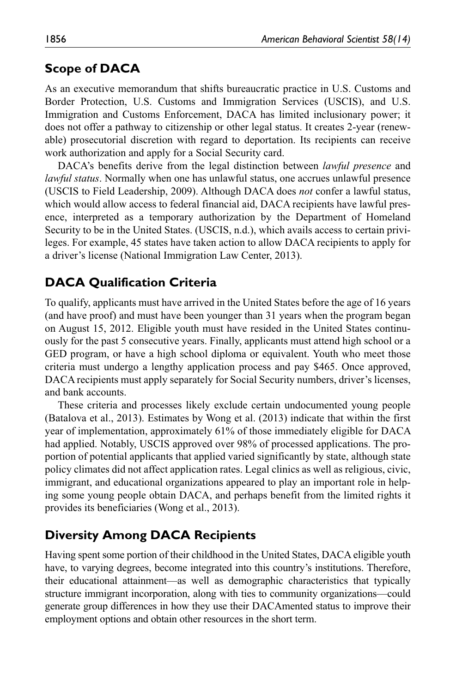## **Scope of DACA**

As an executive memorandum that shifts bureaucratic practice in U.S. Customs and Border Protection, U.S. Customs and Immigration Services (USCIS), and U.S. Immigration and Customs Enforcement, DACA has limited inclusionary power; it does not offer a pathway to citizenship or other legal status. It creates 2-year (renewable) prosecutorial discretion with regard to deportation. Its recipients can receive work authorization and apply for a Social Security card.

DACA's benefits derive from the legal distinction between *lawful presence* and *lawful status*. Normally when one has unlawful status, one accrues unlawful presence (USCIS to Field Leadership, 2009). Although DACA does *not* confer a lawful status, which would allow access to federal financial aid, DACA recipients have lawful presence, interpreted as a temporary authorization by the Department of Homeland Security to be in the United States. (USCIS, n.d.), which avails access to certain privileges. For example, 45 states have taken action to allow DACA recipients to apply for a driver's license (National Immigration Law Center, 2013).

## **DACA Qualification Criteria**

To qualify, applicants must have arrived in the United States before the age of 16 years (and have proof) and must have been younger than 31 years when the program began on August 15, 2012. Eligible youth must have resided in the United States continuously for the past 5 consecutive years. Finally, applicants must attend high school or a GED program, or have a high school diploma or equivalent. Youth who meet those criteria must undergo a lengthy application process and pay \$465. Once approved, DACA recipients must apply separately for Social Security numbers, driver's licenses, and bank accounts.

These criteria and processes likely exclude certain undocumented young people (Batalova et al., 2013). Estimates by Wong et al. (2013) indicate that within the first year of implementation, approximately 61% of those immediately eligible for DACA had applied. Notably, USCIS approved over 98% of processed applications. The proportion of potential applicants that applied varied significantly by state, although state policy climates did not affect application rates. Legal clinics as well as religious, civic, immigrant, and educational organizations appeared to play an important role in helping some young people obtain DACA, and perhaps benefit from the limited rights it provides its beneficiaries (Wong et al., 2013).

## **Diversity Among DACA Recipients**

Having spent some portion of their childhood in the United States, DACA eligible youth have, to varying degrees, become integrated into this country's institutions. Therefore, their educational attainment—as well as demographic characteristics that typically structure immigrant incorporation, along with ties to community organizations—could generate group differences in how they use their DACAmented status to improve their employment options and obtain other resources in the short term.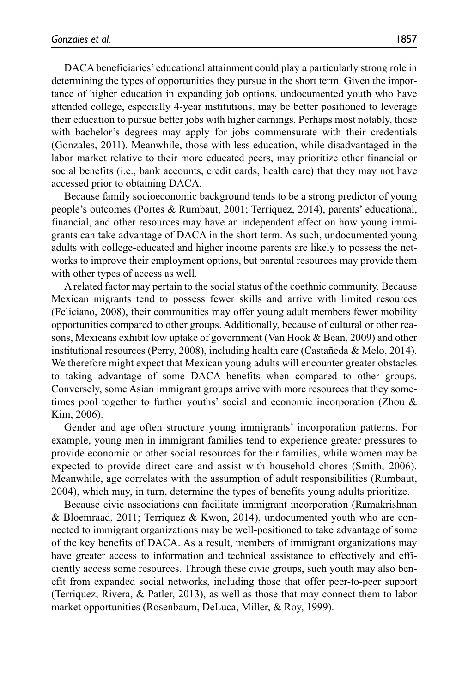DACA beneficiaries' educational attainment could play a particularly strong role in determining the types of opportunities they pursue in the short term. Given the importance of higher education in expanding job options, undocumented youth who have attended college, especially 4-year institutions, may be better positioned to leverage their education to pursue better jobs with higher earnings. Perhaps most notably, those with bachelor's degrees may apply for jobs commensurate with their credentials (Gonzales, 2011). Meanwhile, those with less education, while disadvantaged in the labor market relative to their more educated peers, may prioritize other financial or social benefits (i.e., bank accounts, credit cards, health care) that they may not have accessed prior to obtaining DACA.

Because family socioeconomic background tends to be a strong predictor of young people's outcomes (Portes & Rumbaut, 2001; Terriquez, 2014), parents' educational, financial, and other resources may have an independent effect on how young immigrants can take advantage of DACA in the short term. As such, undocumented young adults with college-educated and higher income parents are likely to possess the networks to improve their employment options, but parental resources may provide them with other types of access as well.

A related factor may pertain to the social status of the coethnic community. Because Mexican migrants tend to possess fewer skills and arrive with limited resources (Feliciano, 2008), their communities may offer young adult members fewer mobility opportunities compared to other groups. Additionally, because of cultural or other reasons, Mexicans exhibit low uptake of government (Van Hook & Bean, 2009) and other institutional resources (Perry, 2008), including health care (Castañeda & Melo, 2014). We therefore might expect that Mexican young adults will encounter greater obstacles to taking advantage of some DACA benefits when compared to other groups. Conversely, some Asian immigrant groups arrive with more resources that they sometimes pool together to further youths' social and economic incorporation (Zhou & Kim, 2006).

Gender and age often structure young immigrants' incorporation patterns. For example, young men in immigrant families tend to experience greater pressures to provide economic or other social resources for their families, while women may be expected to provide direct care and assist with household chores (Smith, 2006). Meanwhile, age correlates with the assumption of adult responsibilities (Rumbaut, 2004), which may, in turn, determine the types of benefits young adults prioritize.

Because civic associations can facilitate immigrant incorporation (Ramakrishnan & Bloemraad, 2011; Terriquez & Kwon, 2014), undocumented youth who are connected to immigrant organizations may be well-positioned to take advantage of some of the key benefits of DACA. As a result, members of immigrant organizations may have greater access to information and technical assistance to effectively and efficiently access some resources. Through these civic groups, such youth may also benefit from expanded social networks, including those that offer peer-to-peer support (Terriquez, Rivera, & Patler, 2013), as well as those that may connect them to labor market opportunities (Rosenbaum, DeLuca, Miller, & Roy, 1999).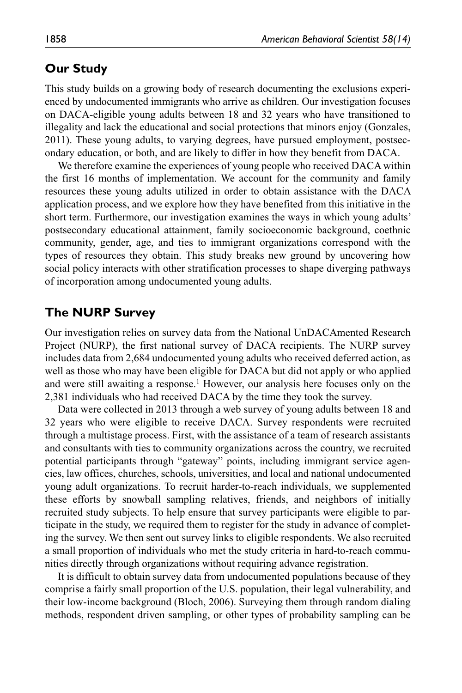#### **Our Study**

This study builds on a growing body of research documenting the exclusions experienced by undocumented immigrants who arrive as children. Our investigation focuses on DACA-eligible young adults between 18 and 32 years who have transitioned to illegality and lack the educational and social protections that minors enjoy (Gonzales, 2011). These young adults, to varying degrees, have pursued employment, postsecondary education, or both, and are likely to differ in how they benefit from DACA.

We therefore examine the experiences of young people who received DACA within the first 16 months of implementation. We account for the community and family resources these young adults utilized in order to obtain assistance with the DACA application process, and we explore how they have benefited from this initiative in the short term. Furthermore, our investigation examines the ways in which young adults' postsecondary educational attainment, family socioeconomic background, coethnic community, gender, age, and ties to immigrant organizations correspond with the types of resources they obtain. This study breaks new ground by uncovering how social policy interacts with other stratification processes to shape diverging pathways of incorporation among undocumented young adults.

## **The NURP Survey**

Our investigation relies on survey data from the National UnDACAmented Research Project (NURP), the first national survey of DACA recipients. The NURP survey includes data from 2,684 undocumented young adults who received deferred action, as well as those who may have been eligible for DACA but did not apply or who applied and were still awaiting a response.<sup>1</sup> However, our analysis here focuses only on the 2,381 individuals who had received DACA by the time they took the survey.

Data were collected in 2013 through a web survey of young adults between 18 and 32 years who were eligible to receive DACA. Survey respondents were recruited through a multistage process. First, with the assistance of a team of research assistants and consultants with ties to community organizations across the country, we recruited potential participants through "gateway" points, including immigrant service agencies, law offices, churches, schools, universities, and local and national undocumented young adult organizations. To recruit harder-to-reach individuals, we supplemented these efforts by snowball sampling relatives, friends, and neighbors of initially recruited study subjects. To help ensure that survey participants were eligible to participate in the study, we required them to register for the study in advance of completing the survey. We then sent out survey links to eligible respondents. We also recruited a small proportion of individuals who met the study criteria in hard-to-reach communities directly through organizations without requiring advance registration.

It is difficult to obtain survey data from undocumented populations because of they comprise a fairly small proportion of the U.S. population, their legal vulnerability, and their low-income background (Bloch, 2006). Surveying them through random dialing methods, respondent driven sampling, or other types of probability sampling can be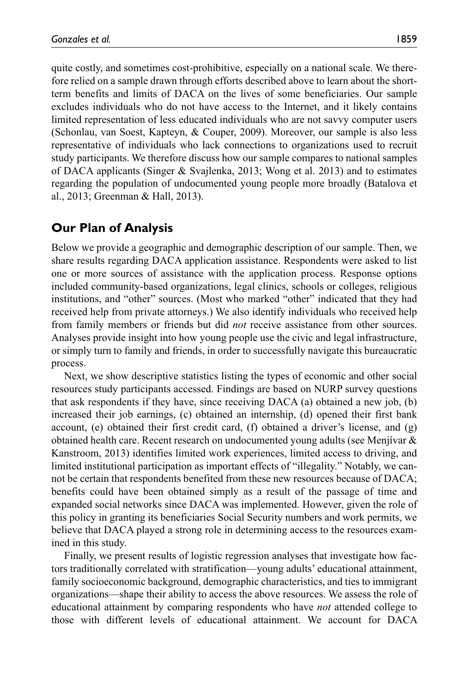quite costly, and sometimes cost-prohibitive, especially on a national scale. We therefore relied on a sample drawn through efforts described above to learn about the shortterm benefits and limits of DACA on the lives of some beneficiaries. Our sample excludes individuals who do not have access to the Internet, and it likely contains limited representation of less educated individuals who are not savvy computer users (Schonlau, van Soest, Kapteyn, & Couper, 2009). Moreover, our sample is also less representative of individuals who lack connections to organizations used to recruit study participants. We therefore discuss how our sample compares to national samples of DACA applicants (Singer & Svajlenka, 2013; Wong et al. 2013) and to estimates regarding the population of undocumented young people more broadly (Batalova et al., 2013; Greenman & Hall, 2013).

## **Our Plan of Analysis**

Below we provide a geographic and demographic description of our sample. Then, we share results regarding DACA application assistance. Respondents were asked to list one or more sources of assistance with the application process. Response options included community-based organizations, legal clinics, schools or colleges, religious institutions, and "other" sources. (Most who marked "other" indicated that they had received help from private attorneys.) We also identify individuals who received help from family members or friends but did *not* receive assistance from other sources. Analyses provide insight into how young people use the civic and legal infrastructure, or simply turn to family and friends, in order to successfully navigate this bureaucratic process.

Next, we show descriptive statistics listing the types of economic and other social resources study participants accessed. Findings are based on NURP survey questions that ask respondents if they have, since receiving DACA (a) obtained a new job, (b) increased their job earnings, (c) obtained an internship, (d) opened their first bank account, (e) obtained their first credit card, (f) obtained a driver's license, and (g) obtained health care. Recent research on undocumented young adults (see Menjívar & Kanstroom, 2013) identifies limited work experiences, limited access to driving, and limited institutional participation as important effects of "illegality." Notably, we cannot be certain that respondents benefited from these new resources because of DACA; benefits could have been obtained simply as a result of the passage of time and expanded social networks since DACA was implemented. However, given the role of this policy in granting its beneficiaries Social Security numbers and work permits, we believe that DACA played a strong role in determining access to the resources examined in this study.

Finally, we present results of logistic regression analyses that investigate how factors traditionally correlated with stratification—young adults' educational attainment, family socioeconomic background, demographic characteristics, and ties to immigrant organizations—shape their ability to access the above resources. We assess the role of educational attainment by comparing respondents who have *not* attended college to those with different levels of educational attainment. We account for DACA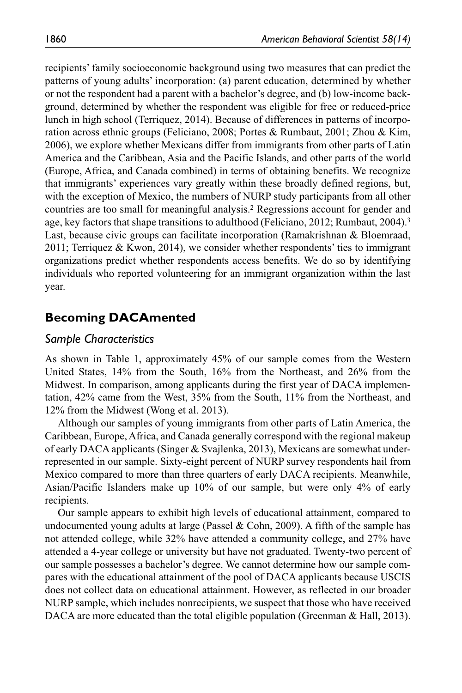recipients' family socioeconomic background using two measures that can predict the patterns of young adults' incorporation: (a) parent education, determined by whether or not the respondent had a parent with a bachelor's degree, and (b) low-income background, determined by whether the respondent was eligible for free or reduced-price lunch in high school (Terriquez, 2014). Because of differences in patterns of incorporation across ethnic groups (Feliciano, 2008; Portes & Rumbaut, 2001; Zhou & Kim, 2006), we explore whether Mexicans differ from immigrants from other parts of Latin America and the Caribbean, Asia and the Pacific Islands, and other parts of the world (Europe, Africa, and Canada combined) in terms of obtaining benefits. We recognize that immigrants' experiences vary greatly within these broadly defined regions, but, with the exception of Mexico, the numbers of NURP study participants from all other countries are too small for meaningful analysis.2 Regressions account for gender and age, key factors that shape transitions to adulthood (Feliciano, 2012; Rumbaut, 2004).<sup>3</sup> Last, because civic groups can facilitate incorporation (Ramakrishnan & Bloemraad, 2011; Terriquez & Kwon, 2014), we consider whether respondents' ties to immigrant organizations predict whether respondents access benefits. We do so by identifying individuals who reported volunteering for an immigrant organization within the last year.

## **Becoming DACAmented**

#### *Sample Characteristics*

As shown in Table 1, approximately 45% of our sample comes from the Western United States, 14% from the South, 16% from the Northeast, and 26% from the Midwest. In comparison, among applicants during the first year of DACA implementation, 42% came from the West, 35% from the South, 11% from the Northeast, and 12% from the Midwest (Wong et al. 2013).

Although our samples of young immigrants from other parts of Latin America, the Caribbean, Europe, Africa, and Canada generally correspond with the regional makeup of early DACA applicants (Singer & Svajlenka, 2013), Mexicans are somewhat underrepresented in our sample. Sixty-eight percent of NURP survey respondents hail from Mexico compared to more than three quarters of early DACA recipients. Meanwhile, Asian/Pacific Islanders make up 10% of our sample, but were only 4% of early recipients.

Our sample appears to exhibit high levels of educational attainment, compared to undocumented young adults at large (Passel  $& Cohn, 2009$ ). A fifth of the sample has not attended college, while 32% have attended a community college, and 27% have attended a 4-year college or university but have not graduated. Twenty-two percent of our sample possesses a bachelor's degree. We cannot determine how our sample compares with the educational attainment of the pool of DACA applicants because USCIS does not collect data on educational attainment. However, as reflected in our broader NURP sample, which includes nonrecipients, we suspect that those who have received DACA are more educated than the total eligible population (Greenman & Hall, 2013).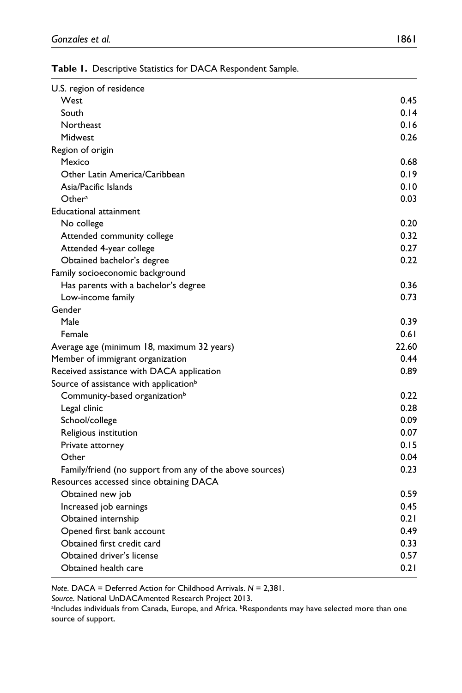**Table 1.** Descriptive Statistics for DACA Respondent Sample.

| U.S. region of residence                                 |       |
|----------------------------------------------------------|-------|
| West                                                     | 0.45  |
| South                                                    | 0.14  |
| Northeast                                                | 0.16  |
| Midwest                                                  | 0.26  |
| Region of origin                                         |       |
| Mexico                                                   | 0.68  |
| Other Latin America/Caribbean                            | 0.19  |
| Asia/Pacific Islands                                     | 0.10  |
| $O$ thera                                                | 0.03  |
| <b>Educational attainment</b>                            |       |
| No college                                               | 0.20  |
| Attended community college                               | 0.32  |
| Attended 4-year college                                  | 0.27  |
| Obtained bachelor's degree                               | 0.22  |
| Family socioeconomic background                          |       |
| Has parents with a bachelor's degree                     | 0.36  |
| Low-income family                                        | 0.73  |
| Gender                                                   |       |
| Male                                                     | 0.39  |
| Female                                                   | 0.61  |
| Average age (minimum 18, maximum 32 years)               | 22.60 |
| Member of immigrant organization                         | 0.44  |
| Received assistance with DACA application                | 0.89  |
| Source of assistance with application <sup>b</sup>       |       |
| Community-based organization <sup>b</sup>                | 0.22  |
| Legal clinic                                             | 0.28  |
| School/college                                           | 0.09  |
| Religious institution                                    | 0.07  |
| Private attorney                                         | 0.15  |
| Other                                                    | 0.04  |
| Family/friend (no support from any of the above sources) | 0.23  |
| Resources accessed since obtaining DACA                  |       |
| Obtained new job                                         | 0.59  |
| Increased job earnings                                   | 0.45  |
| Obtained internship                                      | 0.21  |
| Opened first bank account                                | 0.49  |
| Obtained first credit card                               | 0.33  |
| Obtained driver's license                                | 0.57  |
| Obtained health care                                     | 0.21  |

*Note*. DACA = Deferred Action for Childhood Arrivals. *N* = 2,381.

*Source*. National UnDACAmented Research Project 2013.

<sup>a</sup>Includes individuals from Canada, Europe, and Africa. <sup>b</sup>Respondents may have selected more than one source of support.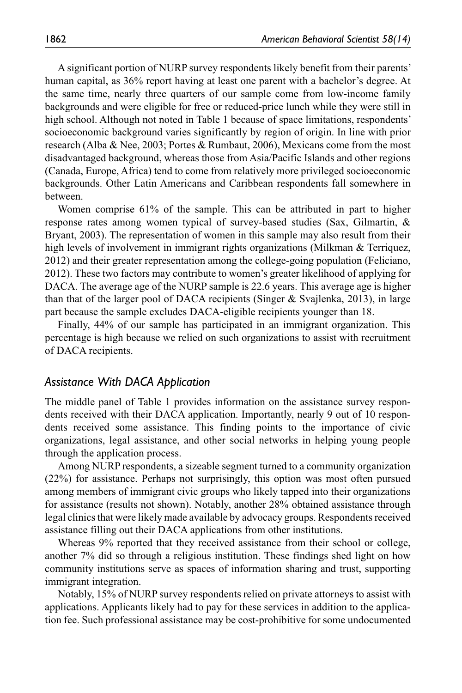A significant portion of NURP survey respondents likely benefit from their parents' human capital, as 36% report having at least one parent with a bachelor's degree. At the same time, nearly three quarters of our sample come from low-income family backgrounds and were eligible for free or reduced-price lunch while they were still in high school. Although not noted in Table 1 because of space limitations, respondents' socioeconomic background varies significantly by region of origin. In line with prior research (Alba & Nee, 2003; Portes & Rumbaut, 2006), Mexicans come from the most disadvantaged background, whereas those from Asia/Pacific Islands and other regions (Canada, Europe, Africa) tend to come from relatively more privileged socioeconomic backgrounds. Other Latin Americans and Caribbean respondents fall somewhere in between.

Women comprise 61% of the sample. This can be attributed in part to higher response rates among women typical of survey-based studies (Sax, Gilmartin, & Bryant, 2003). The representation of women in this sample may also result from their high levels of involvement in immigrant rights organizations (Milkman & Terriquez, 2012) and their greater representation among the college-going population (Feliciano, 2012). These two factors may contribute to women's greater likelihood of applying for DACA. The average age of the NURP sample is 22.6 years. This average age is higher than that of the larger pool of DACA recipients (Singer  $\&$  Svajlenka, 2013), in large part because the sample excludes DACA-eligible recipients younger than 18.

Finally, 44% of our sample has participated in an immigrant organization. This percentage is high because we relied on such organizations to assist with recruitment of DACA recipients.

#### *Assistance With DACA Application*

The middle panel of Table 1 provides information on the assistance survey respondents received with their DACA application. Importantly, nearly 9 out of 10 respondents received some assistance. This finding points to the importance of civic organizations, legal assistance, and other social networks in helping young people through the application process.

Among NURP respondents, a sizeable segment turned to a community organization (22%) for assistance. Perhaps not surprisingly, this option was most often pursued among members of immigrant civic groups who likely tapped into their organizations for assistance (results not shown). Notably, another 28% obtained assistance through legal clinics that were likely made available by advocacy groups. Respondents received assistance filling out their DACA applications from other institutions.

Whereas 9% reported that they received assistance from their school or college, another 7% did so through a religious institution. These findings shed light on how community institutions serve as spaces of information sharing and trust, supporting immigrant integration.

Notably, 15% of NURP survey respondents relied on private attorneys to assist with applications. Applicants likely had to pay for these services in addition to the application fee. Such professional assistance may be cost-prohibitive for some undocumented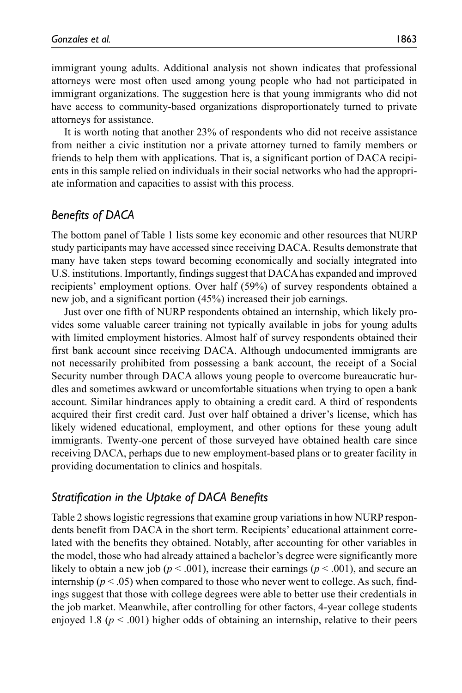immigrant young adults. Additional analysis not shown indicates that professional attorneys were most often used among young people who had not participated in immigrant organizations. The suggestion here is that young immigrants who did not have access to community-based organizations disproportionately turned to private attorneys for assistance.

It is worth noting that another 23% of respondents who did not receive assistance from neither a civic institution nor a private attorney turned to family members or friends to help them with applications. That is, a significant portion of DACA recipients in this sample relied on individuals in their social networks who had the appropriate information and capacities to assist with this process.

## *Benefits of DACA*

The bottom panel of Table 1 lists some key economic and other resources that NURP study participants may have accessed since receiving DACA. Results demonstrate that many have taken steps toward becoming economically and socially integrated into U.S. institutions. Importantly, findings suggest that DACA has expanded and improved recipients' employment options. Over half (59%) of survey respondents obtained a new job, and a significant portion (45%) increased their job earnings.

Just over one fifth of NURP respondents obtained an internship, which likely provides some valuable career training not typically available in jobs for young adults with limited employment histories. Almost half of survey respondents obtained their first bank account since receiving DACA. Although undocumented immigrants are not necessarily prohibited from possessing a bank account, the receipt of a Social Security number through DACA allows young people to overcome bureaucratic hurdles and sometimes awkward or uncomfortable situations when trying to open a bank account. Similar hindrances apply to obtaining a credit card. A third of respondents acquired their first credit card. Just over half obtained a driver's license, which has likely widened educational, employment, and other options for these young adult immigrants. Twenty-one percent of those surveyed have obtained health care since receiving DACA, perhaps due to new employment-based plans or to greater facility in providing documentation to clinics and hospitals.

#### *Stratification in the Uptake of DACA Benefits*

Table 2 shows logistic regressions that examine group variations in how NURP respondents benefit from DACA in the short term. Recipients' educational attainment correlated with the benefits they obtained. Notably, after accounting for other variables in the model, those who had already attained a bachelor's degree were significantly more likely to obtain a new job ( $p < .001$ ), increase their earnings ( $p < .001$ ), and secure an internship ( $p < .05$ ) when compared to those who never went to college. As such, findings suggest that those with college degrees were able to better use their credentials in the job market. Meanwhile, after controlling for other factors, 4-year college students enjoyed 1.8 ( $p < .001$ ) higher odds of obtaining an internship, relative to their peers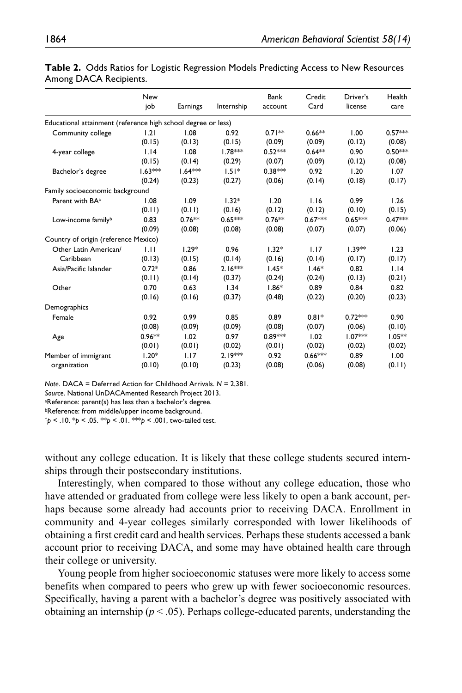|                                                               | New<br>job | Earnings  | Internship | Bank<br>account | Credit<br>Card | Driver's<br>license | Health<br>care |
|---------------------------------------------------------------|------------|-----------|------------|-----------------|----------------|---------------------|----------------|
| Educational attainment (reference high school degree or less) |            |           |            |                 |                |                     |                |
| Community college                                             | 1.21       | 1.08      | 0.92       | $0.71**$        | $0.66**$       | 1.00                | $0.57***$      |
|                                                               | (0.15)     | (0.13)    | (0.15)     | (0.09)          | (0.09)         | (0.12)              | (0.08)         |
| 4-year college                                                | 1.14       | 1.08      | $1.78***$  | $0.52***$       | $0.64**$       | 0.90                | $0.50***$      |
|                                                               | (0.15)     | (0.14)    | (0.29)     | (0.07)          | (0.09)         | (0.12)              | (0.08)         |
| Bachelor's degree                                             | $1.63***$  | $1.64***$ | $1.51*$    | $0.38***$       | 0.92           | 1.20                | 1.07           |
|                                                               | (0.24)     | (0.23)    | (0.27)     | (0.06)          | (0.14)         | (0.18)              | (0.17)         |
| Family socioeconomic background                               |            |           |            |                 |                |                     |                |
| Parent with BA <sup>a</sup>                                   | 1.08       | 1.09      | $1.32*$    | 1.20            | 1.16           | 0.99                | 1.26           |
|                                                               | (0.11)     | (0.11)    | (0.16)     | (0.12)          | (0.12)         | (0.10)              | (0.15)         |
| Low-income family <sup>b</sup>                                | 0.83       | $0.76***$ | $0.65***$  | $0.76**$        | $0.67***$      | $0.65***$           | $0.47***$      |
|                                                               | (0.09)     | (0.08)    | (0.08)     | (0.08)          | (0.07)         | (0.07)              | (0.06)         |
| Country of origin (reference Mexico)                          |            |           |            |                 |                |                     |                |
| Other Latin American/                                         | Ш          | $1.29*$   | 0.96       | $1.32*$         | 1.17           | $1.39**$            | 1.23           |
| Caribbean                                                     | (0.13)     | (0.15)    | (0.14)     | (0.16)          | (0.14)         | (0.17)              | (0.17)         |
| Asia/Pacific Islander                                         | $0.72*$    | 0.86      | $2.16***$  | $1.45*$         | $1.46*$        | 0.82                | 1.14           |
|                                                               | (0.11)     | (0.14)    | (0.37)     | (0.24)          | (0.24)         | (0.13)              | (0.21)         |
| Other                                                         | 0.70       | 0.63      | 1.34       | $1.86*$         | 0.89           | 0.84                | 0.82           |
|                                                               | (0.16)     | (0.16)    | (0.37)     | (0.48)          | (0.22)         | (0.20)              | (0.23)         |
| Demographics                                                  |            |           |            |                 |                |                     |                |
| Female                                                        | 0.92       | 0.99      | 0.85       | 0.89            | $0.81*$        | $0.72***$           | 0.90           |
|                                                               | (0.08)     | (0.09)    | (0.09)     | (0.08)          | (0.07)         | (0.06)              | (0.10)         |
| Age                                                           | $0.96**$   | 1.02      | 0.97       | $0.89***$       | 1.02           | $1.07***$           | $1.05**$       |
|                                                               | (0.01)     | (0.01)    | (0.02)     | (0.01)          | (0.02)         | (0.02)              | (0.02)         |
| Member of immigrant                                           | $1.20*$    | 1.17      | $2.19***$  | 0.92            | $0.66***$      | 0.89                | 1.00           |
| organization                                                  | (0.10)     | (0.10)    | (0.23)     | (0.08)          | (0.06)         | (0.08)              | (0.11)         |

**Table 2.** Odds Ratios for Logistic Regression Models Predicting Access to New Resources Among DACA Recipients.

*Note*. DACA = Deferred Action for Childhood Arrivals. *N* = 2,381.

*Source*. National UnDACAmented Research Project 2013.

a Reference: parent(s) has less than a bachelor's degree.

**bReference:** from middle/upper income background.

†*p* < .10. \**p* < .05. \*\**p* < .01. \*\*\**p* < .001, two-tailed test.

without any college education. It is likely that these college students secured internships through their postsecondary institutions.

Interestingly, when compared to those without any college education, those who have attended or graduated from college were less likely to open a bank account, perhaps because some already had accounts prior to receiving DACA. Enrollment in community and 4-year colleges similarly corresponded with lower likelihoods of obtaining a first credit card and health services. Perhaps these students accessed a bank account prior to receiving DACA, and some may have obtained health care through their college or university.

Young people from higher socioeconomic statuses were more likely to access some benefits when compared to peers who grew up with fewer socioeconomic resources. Specifically, having a parent with a bachelor's degree was positively associated with obtaining an internship ( $p < .05$ ). Perhaps college-educated parents, understanding the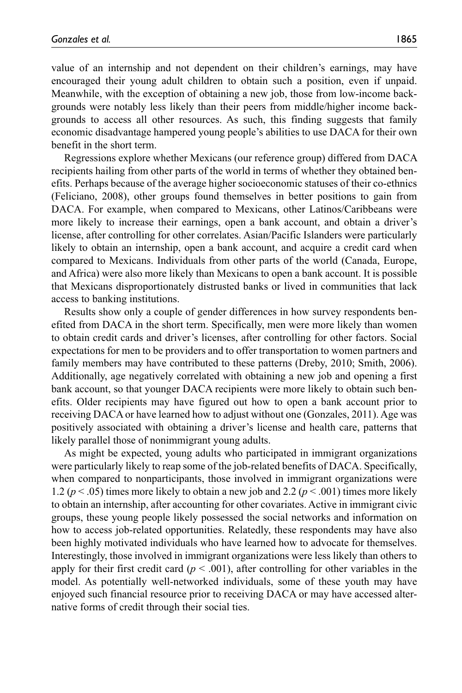value of an internship and not dependent on their children's earnings, may have encouraged their young adult children to obtain such a position, even if unpaid. Meanwhile, with the exception of obtaining a new job, those from low-income backgrounds were notably less likely than their peers from middle/higher income backgrounds to access all other resources. As such, this finding suggests that family economic disadvantage hampered young people's abilities to use DACA for their own benefit in the short term.

Regressions explore whether Mexicans (our reference group) differed from DACA recipients hailing from other parts of the world in terms of whether they obtained benefits. Perhaps because of the average higher socioeconomic statuses of their co-ethnics (Feliciano, 2008), other groups found themselves in better positions to gain from DACA. For example, when compared to Mexicans, other Latinos/Caribbeans were more likely to increase their earnings, open a bank account, and obtain a driver's license, after controlling for other correlates. Asian/Pacific Islanders were particularly likely to obtain an internship, open a bank account, and acquire a credit card when compared to Mexicans. Individuals from other parts of the world (Canada, Europe, and Africa) were also more likely than Mexicans to open a bank account. It is possible that Mexicans disproportionately distrusted banks or lived in communities that lack access to banking institutions.

Results show only a couple of gender differences in how survey respondents benefited from DACA in the short term. Specifically, men were more likely than women to obtain credit cards and driver's licenses, after controlling for other factors. Social expectations for men to be providers and to offer transportation to women partners and family members may have contributed to these patterns (Dreby, 2010; Smith, 2006). Additionally, age negatively correlated with obtaining a new job and opening a first bank account, so that younger DACA recipients were more likely to obtain such benefits. Older recipients may have figured out how to open a bank account prior to receiving DACA or have learned how to adjust without one (Gonzales, 2011). Age was positively associated with obtaining a driver's license and health care, patterns that likely parallel those of nonimmigrant young adults.

As might be expected, young adults who participated in immigrant organizations were particularly likely to reap some of the job-related benefits of DACA. Specifically, when compared to nonparticipants, those involved in immigrant organizations were 1.2 ( $p < .05$ ) times more likely to obtain a new job and 2.2 ( $p < .001$ ) times more likely to obtain an internship, after accounting for other covariates. Active in immigrant civic groups, these young people likely possessed the social networks and information on how to access job-related opportunities. Relatedly, these respondents may have also been highly motivated individuals who have learned how to advocate for themselves. Interestingly, those involved in immigrant organizations were less likely than others to apply for their first credit card  $(p < .001)$ , after controlling for other variables in the model. As potentially well-networked individuals, some of these youth may have enjoyed such financial resource prior to receiving DACA or may have accessed alternative forms of credit through their social ties.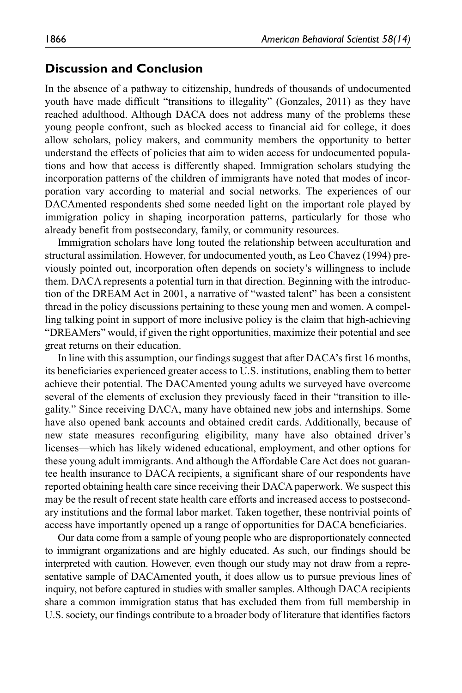#### **Discussion and Conclusion**

In the absence of a pathway to citizenship, hundreds of thousands of undocumented youth have made difficult "transitions to illegality" (Gonzales, 2011) as they have reached adulthood. Although DACA does not address many of the problems these young people confront, such as blocked access to financial aid for college, it does allow scholars, policy makers, and community members the opportunity to better understand the effects of policies that aim to widen access for undocumented populations and how that access is differently shaped. Immigration scholars studying the incorporation patterns of the children of immigrants have noted that modes of incorporation vary according to material and social networks. The experiences of our DACAmented respondents shed some needed light on the important role played by immigration policy in shaping incorporation patterns, particularly for those who already benefit from postsecondary, family, or community resources.

Immigration scholars have long touted the relationship between acculturation and structural assimilation. However, for undocumented youth, as Leo Chavez (1994) previously pointed out, incorporation often depends on society's willingness to include them. DACA represents a potential turn in that direction. Beginning with the introduction of the DREAM Act in 2001, a narrative of "wasted talent" has been a consistent thread in the policy discussions pertaining to these young men and women. A compelling talking point in support of more inclusive policy is the claim that high-achieving "DREAMers" would, if given the right opportunities, maximize their potential and see great returns on their education.

In line with this assumption, our findings suggest that after DACA's first 16 months, its beneficiaries experienced greater access to U.S. institutions, enabling them to better achieve their potential. The DACAmented young adults we surveyed have overcome several of the elements of exclusion they previously faced in their "transition to illegality." Since receiving DACA, many have obtained new jobs and internships. Some have also opened bank accounts and obtained credit cards. Additionally, because of new state measures reconfiguring eligibility, many have also obtained driver's licenses—which has likely widened educational, employment, and other options for these young adult immigrants. And although the Affordable Care Act does not guarantee health insurance to DACA recipients, a significant share of our respondents have reported obtaining health care since receiving their DACA paperwork. We suspect this may be the result of recent state health care efforts and increased access to postsecondary institutions and the formal labor market. Taken together, these nontrivial points of access have importantly opened up a range of opportunities for DACA beneficiaries.

Our data come from a sample of young people who are disproportionately connected to immigrant organizations and are highly educated. As such, our findings should be interpreted with caution. However, even though our study may not draw from a representative sample of DACAmented youth, it does allow us to pursue previous lines of inquiry, not before captured in studies with smaller samples. Although DACA recipients share a common immigration status that has excluded them from full membership in U.S. society, our findings contribute to a broader body of literature that identifies factors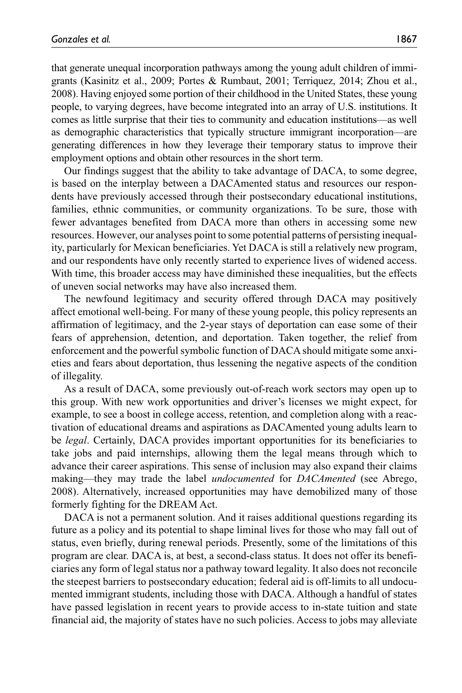that generate unequal incorporation pathways among the young adult children of immigrants (Kasinitz et al., 2009; Portes & Rumbaut, 2001; Terriquez, 2014; Zhou et al., 2008). Having enjoyed some portion of their childhood in the United States, these young people, to varying degrees, have become integrated into an array of U.S. institutions. It comes as little surprise that their ties to community and education institutions—as well as demographic characteristics that typically structure immigrant incorporation—are generating differences in how they leverage their temporary status to improve their employment options and obtain other resources in the short term.

Our findings suggest that the ability to take advantage of DACA, to some degree, is based on the interplay between a DACAmented status and resources our respondents have previously accessed through their postsecondary educational institutions, families, ethnic communities, or community organizations. To be sure, those with fewer advantages benefited from DACA more than others in accessing some new resources. However, our analyses point to some potential patterns of persisting inequality, particularly for Mexican beneficiaries. Yet DACA is still a relatively new program, and our respondents have only recently started to experience lives of widened access. With time, this broader access may have diminished these inequalities, but the effects of uneven social networks may have also increased them.

The newfound legitimacy and security offered through DACA may positively affect emotional well-being. For many of these young people, this policy represents an affirmation of legitimacy, and the 2-year stays of deportation can ease some of their fears of apprehension, detention, and deportation. Taken together, the relief from enforcement and the powerful symbolic function of DACA should mitigate some anxieties and fears about deportation, thus lessening the negative aspects of the condition of illegality.

As a result of DACA, some previously out-of-reach work sectors may open up to this group. With new work opportunities and driver's licenses we might expect, for example, to see a boost in college access, retention, and completion along with a reactivation of educational dreams and aspirations as DACAmented young adults learn to be *legal*. Certainly, DACA provides important opportunities for its beneficiaries to take jobs and paid internships, allowing them the legal means through which to advance their career aspirations. This sense of inclusion may also expand their claims making—they may trade the label *undocumented* for *DACAmented* (see Abrego, 2008). Alternatively, increased opportunities may have demobilized many of those formerly fighting for the DREAM Act.

DACA is not a permanent solution. And it raises additional questions regarding its future as a policy and its potential to shape liminal lives for those who may fall out of status, even briefly, during renewal periods. Presently, some of the limitations of this program are clear. DACA is, at best, a second-class status. It does not offer its beneficiaries any form of legal status nor a pathway toward legality. It also does not reconcile the steepest barriers to postsecondary education; federal aid is off-limits to all undocumented immigrant students, including those with DACA. Although a handful of states have passed legislation in recent years to provide access to in-state tuition and state financial aid, the majority of states have no such policies. Access to jobs may alleviate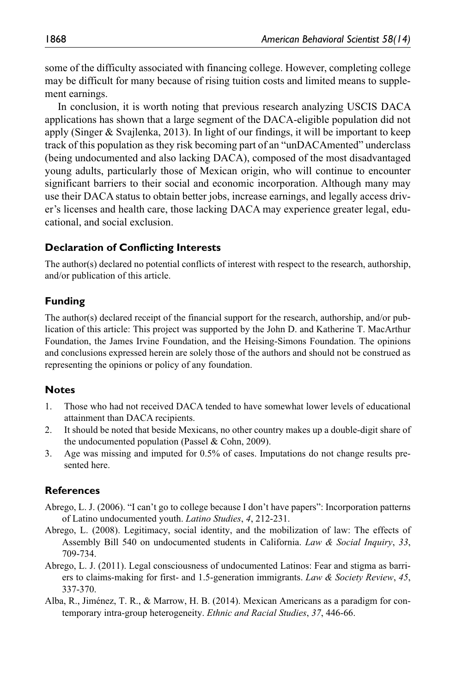some of the difficulty associated with financing college. However, completing college may be difficult for many because of rising tuition costs and limited means to supplement earnings.

In conclusion, it is worth noting that previous research analyzing USCIS DACA applications has shown that a large segment of the DACA-eligible population did not apply (Singer  $\&$  Svajlenka, 2013). In light of our findings, it will be important to keep track of this population as they risk becoming part of an "unDACAmented" underclass (being undocumented and also lacking DACA), composed of the most disadvantaged young adults, particularly those of Mexican origin, who will continue to encounter significant barriers to their social and economic incorporation. Although many may use their DACA status to obtain better jobs, increase earnings, and legally access driver's licenses and health care, those lacking DACA may experience greater legal, educational, and social exclusion.

#### **Declaration of Conflicting Interests**

The author(s) declared no potential conflicts of interest with respect to the research, authorship, and/or publication of this article.

## **Funding**

The author(s) declared receipt of the financial support for the research, authorship, and/or publication of this article: This project was supported by the John D. and Katherine T. MacArthur Foundation, the James Irvine Foundation, and the Heising-Simons Foundation. The opinions and conclusions expressed herein are solely those of the authors and should not be construed as representing the opinions or policy of any foundation.

## **Notes**

- 1. Those who had not received DACA tended to have somewhat lower levels of educational attainment than DACA recipients.
- 2. It should be noted that beside Mexicans, no other country makes up a double-digit share of the undocumented population (Passel & Cohn, 2009).
- 3. Age was missing and imputed for 0.5% of cases. Imputations do not change results presented here.

## **References**

- Abrego, L. J. (2006). "I can't go to college because I don't have papers": Incorporation patterns of Latino undocumented youth. *Latino Studies*, *4*, 212-231.
- Abrego, L. (2008). Legitimacy, social identity, and the mobilization of law: The effects of Assembly Bill 540 on undocumented students in California. *Law & Social Inquiry*, *33*, 709-734.
- Abrego, L. J. (2011). Legal consciousness of undocumented Latinos: Fear and stigma as barriers to claims-making for first- and 1.5-generation immigrants. *Law & Society Review*, *45*, 337-370.
- Alba, R., Jiménez, T. R., & Marrow, H. B. (2014). Mexican Americans as a paradigm for contemporary intra-group heterogeneity. *Ethnic and Racial Studies*, *37*, 446-66.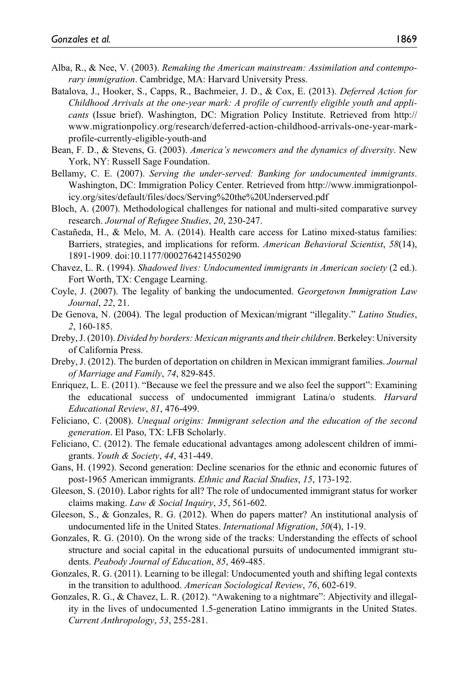Alba, R., & Nee, V. (2003). *Remaking the American mainstream: Assimilation and contemporary immigration*. Cambridge, MA: Harvard University Press.

Batalova, J., Hooker, S., Capps, R., Bachmeier, J. D., & Cox, E. (2013). *Deferred Action for Childhood Arrivals at the one-year mark: A profile of currently eligible youth and applicants* (Issue brief). Washington, DC: Migration Policy Institute. Retrieved from [http://](http://www.migrationpolicy.org/research/deferred-action-childhood-arrivals-one-year-mark-profile-currently-eligible-youth-and) [www.migrationpolicy.org/research/deferred-action-childhood-arrivals-one-year-mark](http://www.migrationpolicy.org/research/deferred-action-childhood-arrivals-one-year-mark-profile-currently-eligible-youth-and)[profile-currently-eligible-youth-and](http://www.migrationpolicy.org/research/deferred-action-childhood-arrivals-one-year-mark-profile-currently-eligible-youth-and)

- Bean, F. D., & Stevens, G. (2003). *America's newcomers and the dynamics of diversity*. New York, NY: Russell Sage Foundation.
- Bellamy, C. E. (2007). *Serving the under-served: Banking for undocumented immigrants*. Washington, DC: Immigration Policy Center. Retrieved from [http://www.immigrationpol](http://www.immigrationpolicy.org/sites/default/files/docs/Serving%20the%20Underserved.pdf)[icy.org/sites/default/files/docs/Serving%20the%20Underserved.pdf](http://www.immigrationpolicy.org/sites/default/files/docs/Serving%20the%20Underserved.pdf)
- Bloch, A. (2007). Methodological challenges for national and multi-sited comparative survey research. *Journal of Refugee Studies*, *20*, 230-247.
- Castañeda, H., & Melo, M. A. (2014). Health care access for Latino mixed-status families: Barriers, strategies, and implications for reform. *American Behavioral Scientist*, *58*(14), 1891-1909. doi:10.1177/0002764214550290
- Chavez, L. R. (1994). *Shadowed lives: Undocumented immigrants in American society* (2 ed.). Fort Worth, TX: Cengage Learning.
- Coyle, J. (2007). The legality of banking the undocumented. *Georgetown Immigration Law Journal*, *22*, 21.
- De Genova, N. (2004). The legal production of Mexican/migrant "illegality." *Latino Studies*, *2*, 160-185.
- Dreby, J. (2010). *Divided by borders: Mexican migrants and their children*. Berkeley: University of California Press.
- Dreby, J. (2012). The burden of deportation on children in Mexican immigrant families. *Journal of Marriage and Family*, *74*, 829-845.
- Enriquez, L. E. (2011). "Because we feel the pressure and we also feel the support": Examining the educational success of undocumented immigrant Latina/o students. *Harvard Educational Review*, *81*, 476-499.
- Feliciano, C. (2008). *Unequal origins: Immigrant selection and the education of the second generation*. El Paso, TX: LFB Scholarly.
- Feliciano, C. (2012). The female educational advantages among adolescent children of immigrants. *Youth & Society*, *44*, 431-449.
- Gans, H. (1992). Second generation: Decline scenarios for the ethnic and economic futures of post-1965 American immigrants. *Ethnic and Racial Studies*, *15*, 173-192.
- Gleeson, S. (2010). Labor rights for all? The role of undocumented immigrant status for worker claims making. *Law & Social Inquiry*, *35*, 561-602.
- Gleeson, S., & Gonzales, R. G. (2012). When do papers matter? An institutional analysis of undocumented life in the United States. *International Migration*, *50*(4), 1-19.
- Gonzales, R. G. (2010). On the wrong side of the tracks: Understanding the effects of school structure and social capital in the educational pursuits of undocumented immigrant students. *Peabody Journal of Education*, *85*, 469-485.
- Gonzales, R. G. (2011). Learning to be illegal: Undocumented youth and shifting legal contexts in the transition to adulthood. *American Sociological Review*, *76*, 602-619.
- Gonzales, R. G., & Chavez, L. R. (2012). "Awakening to a nightmare": Abjectivity and illegality in the lives of undocumented 1.5-generation Latino immigrants in the United States. *Current Anthropology*, *53*, 255-281.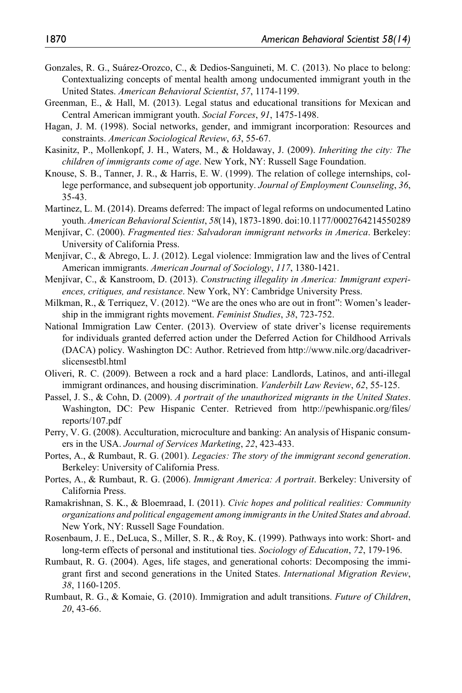- Gonzales, R. G., Suárez-Orozco, C., & Dedios-Sanguineti, M. C. (2013). No place to belong: Contextualizing concepts of mental health among undocumented immigrant youth in the United States. *American Behavioral Scientist*, *57*, 1174-1199.
- Greenman, E., & Hall, M. (2013). Legal status and educational transitions for Mexican and Central American immigrant youth. *Social Forces*, *91*, 1475-1498.
- Hagan, J. M. (1998). Social networks, gender, and immigrant incorporation: Resources and constraints. *American Sociological Review*, *63*, 55-67.
- Kasinitz, P., Mollenkopf, J. H., Waters, M., & Holdaway, J. (2009). *Inheriting the city: The children of immigrants come of age*. New York, NY: Russell Sage Foundation.
- Knouse, S. B., Tanner, J. R., & Harris, E. W. (1999). The relation of college internships, college performance, and subsequent job opportunity. *Journal of Employment Counseling*, *36*, 35-43.
- Martinez, L. M. (2014). Dreams deferred: The impact of legal reforms on undocumented Latino youth. *American Behavioral Scientist*, *58*(14), 1873-1890. doi:10.1177/0002764214550289
- Menjívar, C. (2000). *Fragmented ties: Salvadoran immigrant networks in America*. Berkeley: University of California Press.
- Menjívar, C., & Abrego, L. J. (2012). Legal violence: Immigration law and the lives of Central American immigrants. *American Journal of Sociology*, *117*, 1380-1421.
- Menjívar, C., & Kanstroom, D. (2013). *Constructing illegality in America: Immigrant experiences, critiques, and resistance*. New York, NY: Cambridge University Press.
- Milkman, R., & Terriquez, V. (2012). "We are the ones who are out in front": Women's leadership in the immigrant rights movement. *Feminist Studies*, *38*, 723-752.
- National Immigration Law Center. (2013). Overview of state driver's license requirements for individuals granted deferred action under the Deferred Action for Childhood Arrivals (DACA) policy. Washington DC: Author. Retrieved from [http://www.nilc.org/dacadriver](http://www.nilc.org/dacadriverslicensestbl.html)[slicensestbl.html](http://www.nilc.org/dacadriverslicensestbl.html)
- Oliveri, R. C. (2009). Between a rock and a hard place: Landlords, Latinos, and anti-illegal immigrant ordinances, and housing discrimination. *Vanderbilt Law Review*, *62*, 55-125.
- Passel, J. S., & Cohn, D. (2009). *A portrait of the unauthorized migrants in the United States*. Washington, DC: Pew Hispanic Center. Retrieved from [http://pewhispanic.org/files/](http://pewhispanic.org/files/reports/107.pdf) [reports/107.pdf](http://pewhispanic.org/files/reports/107.pdf)
- Perry, V. G. (2008). Acculturation, microculture and banking: An analysis of Hispanic consumers in the USA. *Journal of Services Marketing*, *22*, 423-433.
- Portes, A., & Rumbaut, R. G. (2001). *Legacies: The story of the immigrant second generation*. Berkeley: University of California Press.
- Portes, A., & Rumbaut, R. G. (2006). *Immigrant America: A portrait*. Berkeley: University of California Press.
- Ramakrishnan, S. K., & Bloemraad, I. (2011). *Civic hopes and political realities: Community organizations and political engagement among immigrants in the United States and abroad*. New York, NY: Russell Sage Foundation.
- Rosenbaum, J. E., DeLuca, S., Miller, S. R., & Roy, K. (1999). Pathways into work: Short- and long-term effects of personal and institutional ties. *Sociology of Education*, *72*, 179-196.
- Rumbaut, R. G. (2004). Ages, life stages, and generational cohorts: Decomposing the immigrant first and second generations in the United States. *International Migration Review*, *38*, 1160-1205.
- Rumbaut, R. G., & Komaie, G. (2010). Immigration and adult transitions. *Future of Children*, *20*, 43-66.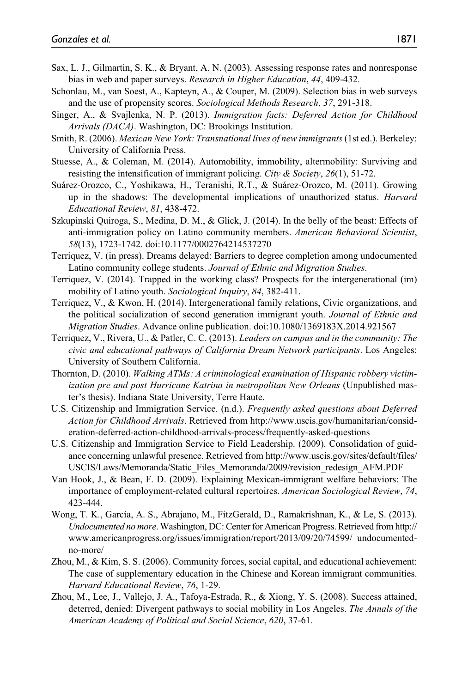- Sax, L. J., Gilmartin, S. K., & Bryant, A. N. (2003). Assessing response rates and nonresponse bias in web and paper surveys. *Research in Higher Education*, *44*, 409-432.
- Schonlau, M., van Soest, A., Kapteyn, A., & Couper, M. (2009). Selection bias in web surveys and the use of propensity scores. *Sociological Methods Research*, *37*, 291-318.
- Singer, A., & Svajlenka, N. P. (2013). *Immigration facts: Deferred Action for Childhood Arrivals (DACA)*. Washington, DC: Brookings Institution.
- Smith, R. (2006). *Mexican New York: Transnational lives of new immigrants* (1st ed.). Berkeley: University of California Press.
- Stuesse, A., & Coleman, M. (2014). Automobility, immobility, altermobility: Surviving and resisting the intensification of immigrant policing. *City & Society*, *26*(1), 51-72.
- Suárez-Orozco, C., Yoshikawa, H., Teranishi, R.T., & Suárez-Orozco, M. (2011). Growing up in the shadows: The developmental implications of unauthorized status. *Harvard Educational Review*, *81*, 438-472.
- Szkupinski Quiroga, S., Medina, D. M., & Glick, J. (2014). In the belly of the beast: Effects of anti-immigration policy on Latino community members. *American Behavioral Scientist*, *58*(13), 1723-1742. doi:10.1177/0002764214537270
- Terriquez, V. (in press). Dreams delayed: Barriers to degree completion among undocumented Latino community college students. *Journal of Ethnic and Migration Studies*.
- Terriquez, V. (2014). Trapped in the working class? Prospects for the intergenerational (im) mobility of Latino youth. *Sociological Inquiry*, *84*, 382-411.
- Terriquez, V., & Kwon, H. (2014). Intergenerational family relations, Civic organizations, and the political socialization of second generation immigrant youth. *Journal of Ethnic and Migration Studies*. Advance online publication. doi:10.1080/1369183X.2014.921567
- Terriquez, V., Rivera, U., & Patler, C. C. (2013). *Leaders on campus and in the community: The civic and educational pathways of California Dream Network participants*. Los Angeles: University of Southern California.
- Thornton, D. (2010). *Walking ATMs: A criminological examination of Hispanic robbery victimization pre and post Hurricane Katrina in metropolitan New Orleans* (Unpublished master's thesis). Indiana State University, Terre Haute.
- U.S. Citizenship and Immigration Service. (n.d.). *Frequently asked questions about Deferred Action for Childhood Arrivals*. Retrieved from [http://www.uscis.gov/humanitarian/consid](http://www.uscis.gov/humanitarian/consideration-deferred-action-childhood-arrivals-process/frequently-asked-questions)[eration-deferred-action-childhood-arrivals-process/frequently-asked-questions](http://www.uscis.gov/humanitarian/consideration-deferred-action-childhood-arrivals-process/frequently-asked-questions)
- U.S. Citizenship and Immigration Service to Field Leadership. (2009). Consolidation of guidance concerning unlawful presence. Retrieved from [http://www.uscis.gov/sites/default/files/](http://www.uscis.gov/sites/default/files/USCIS/Laws/Memoranda/Static_Files_Memoranda/2009/revision_redesign_AFM.PDF) [USCIS/Laws/Memoranda/Static\\_Files\\_Memoranda/2009/revision\\_redesign\\_AFM.PDF](http://www.uscis.gov/sites/default/files/USCIS/Laws/Memoranda/Static_Files_Memoranda/2009/revision_redesign_AFM.PDF)
- Van Hook, J., & Bean, F. D. (2009). Explaining Mexican-immigrant welfare behaviors: The importance of employment-related cultural repertoires. *American Sociological Review*, *74*, 423-444.
- Wong, T. K., García, A. S., Abrajano, M., FitzGerald, D., Ramakrishnan, K., & Le, S. (2013). *Undocumented no more*. Washington, DC: Center for American Progress. Retrieved from [http://](http://www.americanprogress.org/issues/immigration/report/2013/09/20/74599/) [www.americanprogress.org/issues/immigration/report/2013/09/20/74599](http://www.americanprogress.org/issues/immigration/report/2013/09/20/74599/)[/ undocumented](http://www.americanprogress.org/issues/immigration/report/2013/09/20/74599/undocumentedno-more/)no-more/
- Zhou, M., & Kim, S. S. (2006). Community forces, social capital, and educational achievement: The case of supplementary education in the Chinese and Korean immigrant communities. *Harvard Educational Review*, *76*, 1-29.
- Zhou, M., Lee, J., Vallejo, J. A., Tafoya-Estrada, R., & Xiong, Y. S. (2008). Success attained, deterred, denied: Divergent pathways to social mobility in Los Angeles. *The Annals of the American Academy of Political and Social Science*, *620*, 37-61.